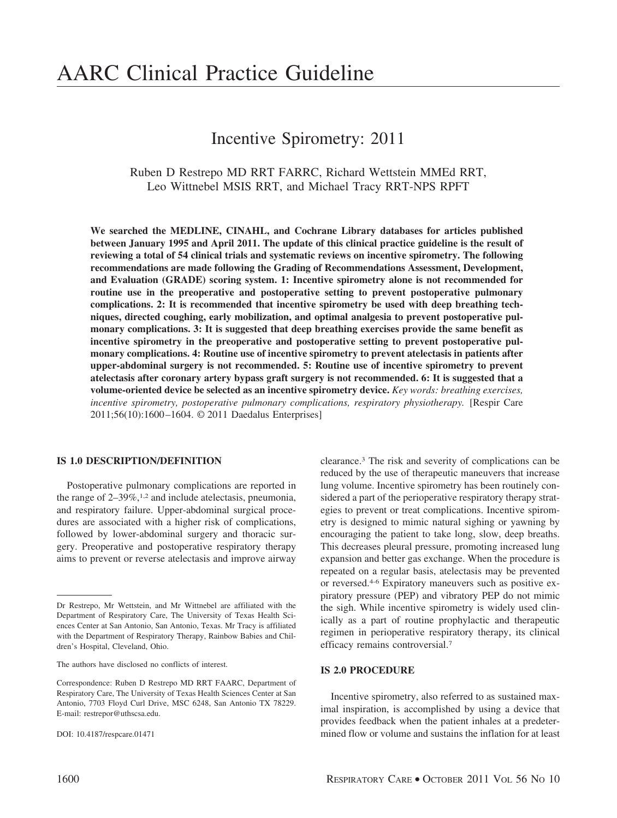# AARC Clinical Practice Guideline

# Incentive Spirometry: 2011

Ruben D Restrepo MD RRT FARRC, Richard Wettstein MMEd RRT, Leo Wittnebel MSIS RRT, and Michael Tracy RRT-NPS RPFT

**We searched the MEDLINE, CINAHL, and Cochrane Library databases for articles published between January 1995 and April 2011. The update of this clinical practice guideline is the result of reviewing a total of 54 clinical trials and systematic reviews on incentive spirometry. The following recommendations are made following the Grading of Recommendations Assessment, Development, and Evaluation (GRADE) scoring system. 1: Incentive spirometry alone is not recommended for routine use in the preoperative and postoperative setting to prevent postoperative pulmonary complications. 2: It is recommended that incentive spirometry be used with deep breathing techniques, directed coughing, early mobilization, and optimal analgesia to prevent postoperative pulmonary complications. 3: It is suggested that deep breathing exercises provide the same benefit as incentive spirometry in the preoperative and postoperative setting to prevent postoperative pulmonary complications. 4: Routine use of incentive spirometry to prevent atelectasis in patients after upper-abdominal surgery is not recommended. 5: Routine use of incentive spirometry to prevent atelectasis after coronary artery bypass graft surgery is not recommended. 6: It is suggested that a volume-oriented device be selected as an incentive spirometry device.** *Key words: breathing exercises, incentive spirometry, postoperative pulmonary complications, respiratory physiotherapy.* [Respir Care 2011;56(10):1600 –1604. © 2011 Daedalus Enterprises]

#### **IS 1.0 DESCRIPTION/DEFINITION**

Postoperative pulmonary complications are reported in the range of  $2-39\%, 1,2$  and include atelectasis, pneumonia, and respiratory failure. Upper-abdominal surgical procedures are associated with a higher risk of complications, followed by lower-abdominal surgery and thoracic surgery. Preoperative and postoperative respiratory therapy aims to prevent or reverse atelectasis and improve airway

The authors have disclosed no conflicts of interest.

DOI: 10.4187/respcare.01471

clearance.3 The risk and severity of complications can be reduced by the use of therapeutic maneuvers that increase lung volume. Incentive spirometry has been routinely considered a part of the perioperative respiratory therapy strategies to prevent or treat complications. Incentive spirometry is designed to mimic natural sighing or yawning by encouraging the patient to take long, slow, deep breaths. This decreases pleural pressure, promoting increased lung expansion and better gas exchange. When the procedure is repeated on a regular basis, atelectasis may be prevented or reversed.4-6 Expiratory maneuvers such as positive expiratory pressure (PEP) and vibratory PEP do not mimic the sigh. While incentive spirometry is widely used clinically as a part of routine prophylactic and therapeutic regimen in perioperative respiratory therapy, its clinical efficacy remains controversial.7

#### **IS 2.0 PROCEDURE**

Incentive spirometry, also referred to as sustained maximal inspiration, is accomplished by using a device that provides feedback when the patient inhales at a predetermined flow or volume and sustains the inflation for at least

Dr Restrepo, Mr Wettstein, and Mr Wittnebel are affiliated with the Department of Respiratory Care, The University of Texas Health Sciences Center at San Antonio, San Antonio, Texas. Mr Tracy is affiliated with the Department of Respiratory Therapy, Rainbow Babies and Children's Hospital, Cleveland, Ohio.

Correspondence: Ruben D Restrepo MD RRT FAARC, Department of Respiratory Care, The University of Texas Health Sciences Center at San Antonio, 7703 Floyd Curl Drive, MSC 6248, San Antonio TX 78229. E-mail: restrepor@uthscsa.edu.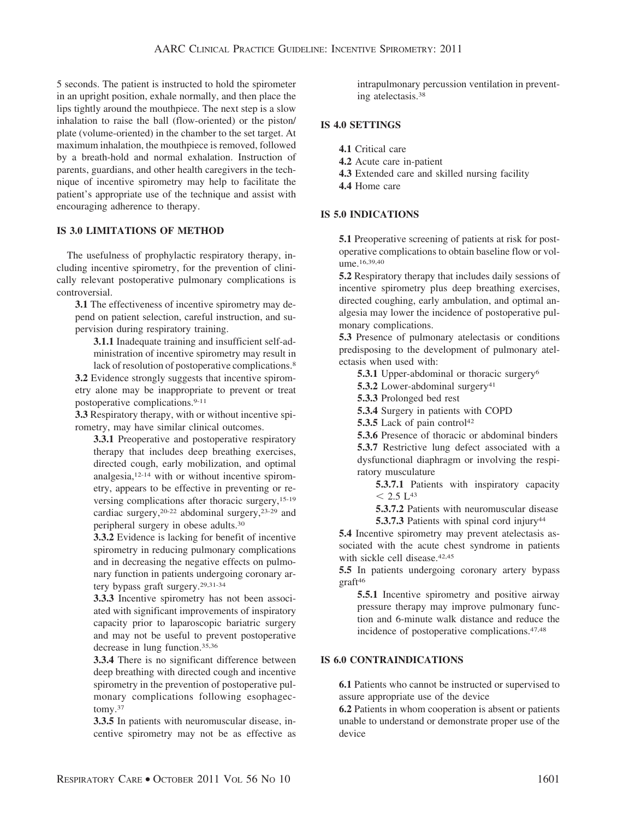5 seconds. The patient is instructed to hold the spirometer in an upright position, exhale normally, and then place the lips tightly around the mouthpiece. The next step is a slow inhalation to raise the ball (flow-oriented) or the piston/ plate (volume-oriented) in the chamber to the set target. At maximum inhalation, the mouthpiece is removed, followed by a breath-hold and normal exhalation. Instruction of parents, guardians, and other health caregivers in the technique of incentive spirometry may help to facilitate the patient's appropriate use of the technique and assist with encouraging adherence to therapy.

#### **IS 3.0 LIMITATIONS OF METHOD**

The usefulness of prophylactic respiratory therapy, including incentive spirometry, for the prevention of clinically relevant postoperative pulmonary complications is controversial.

**3.1** The effectiveness of incentive spirometry may depend on patient selection, careful instruction, and supervision during respiratory training.

**3.1.1** Inadequate training and insufficient self-administration of incentive spirometry may result in lack of resolution of postoperative complications.<sup>8</sup>

**3.2** Evidence strongly suggests that incentive spirometry alone may be inappropriate to prevent or treat postoperative complications.9-11

**3.3** Respiratory therapy, with or without incentive spirometry, may have similar clinical outcomes.

**3.3.1** Preoperative and postoperative respiratory therapy that includes deep breathing exercises, directed cough, early mobilization, and optimal analgesia,12-14 with or without incentive spirometry, appears to be effective in preventing or reversing complications after thoracic surgery,15-19 cardiac surgery,20-22 abdominal surgery,23-29 and peripheral surgery in obese adults.30

**3.3.2** Evidence is lacking for benefit of incentive spirometry in reducing pulmonary complications and in decreasing the negative effects on pulmonary function in patients undergoing coronary artery bypass graft surgery.29,31-34

**3.3.3** Incentive spirometry has not been associated with significant improvements of inspiratory capacity prior to laparoscopic bariatric surgery and may not be useful to prevent postoperative decrease in lung function.35,36

**3.3.4** There is no significant difference between deep breathing with directed cough and incentive spirometry in the prevention of postoperative pulmonary complications following esophagectomy.37

**3.3.5** In patients with neuromuscular disease, incentive spirometry may not be as effective as

intrapulmonary percussion ventilation in preventing atelectasis.38

#### **IS 4.0 SETTINGS**

**4.1** Critical care

- **4.2** Acute care in-patient
- **4.3** Extended care and skilled nursing facility
- **4.4** Home care

# **IS 5.0 INDICATIONS**

**5.1** Preoperative screening of patients at risk for postoperative complications to obtain baseline flow or volume.16,39,40

**5.2** Respiratory therapy that includes daily sessions of incentive spirometry plus deep breathing exercises, directed coughing, early ambulation, and optimal analgesia may lower the incidence of postoperative pulmonary complications.

**5.3** Presence of pulmonary atelectasis or conditions predisposing to the development of pulmonary atelectasis when used with:

**5.3.1** Upper-abdominal or thoracic surgery<sup>6</sup>

**5.3.2** Lower-abdominal surgery<sup>41</sup>

**5.3.3** Prolonged bed rest

**5.3.4** Surgery in patients with COPD

5.3.5 Lack of pain control<sup>42</sup>

**5.3.6** Presence of thoracic or abdominal binders **5.3.7** Restrictive lung defect associated with a dysfunctional diaphragm or involving the respiratory musculature

**5.3.7.1** Patients with inspiratory capacity  $< 2.5$  L<sup>43</sup>

- **5.3.7.2** Patients with neuromuscular disease
- **5.3.7.3** Patients with spinal cord injury<sup>44</sup>

**5.4** Incentive spirometry may prevent atelectasis associated with the acute chest syndrome in patients with sickle cell disease.42,45

**5.5** In patients undergoing coronary artery bypass graft<sup>46</sup>

**5.5.1** Incentive spirometry and positive airway pressure therapy may improve pulmonary function and 6-minute walk distance and reduce the incidence of postoperative complications.47,48

#### **IS 6.0 CONTRAINDICATIONS**

**6.1** Patients who cannot be instructed or supervised to assure appropriate use of the device

**6.2** Patients in whom cooperation is absent or patients unable to understand or demonstrate proper use of the device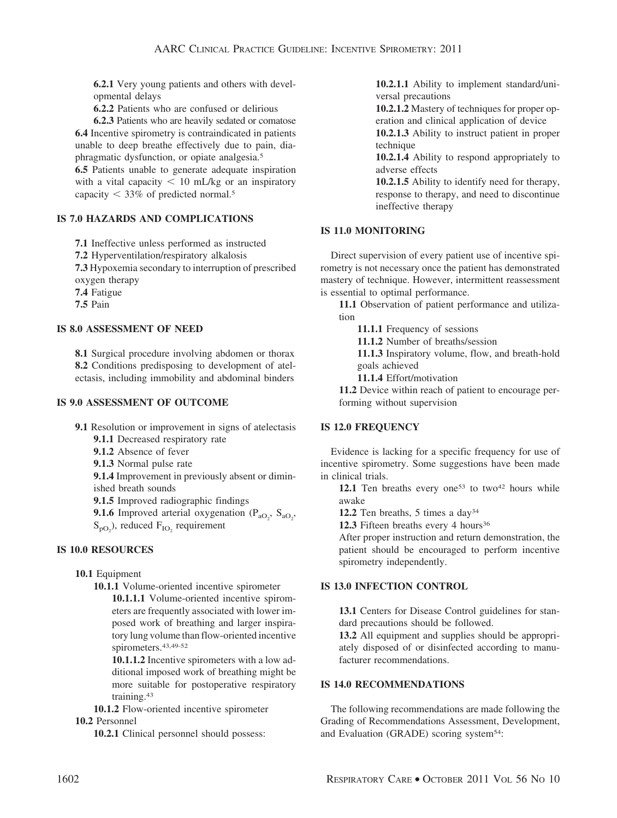**6.2.1** Very young patients and others with developmental delays

**6.2.2** Patients who are confused or delirious

**6.2.3** Patients who are heavily sedated or comatose **6.4** Incentive spirometry is contraindicated in patients unable to deep breathe effectively due to pain, diaphragmatic dysfunction, or opiate analgesia.5

**6.5** Patients unable to generate adequate inspiration with a vital capacity  $\langle 10 \text{ mL/kg or an inspiratory} \rangle$ capacity  $\leq 33\%$  of predicted normal.<sup>5</sup>

#### **IS 7.0 HAZARDS AND COMPLICATIONS**

**7.1** Ineffective unless performed as instructed

**7.2** Hyperventilation/respiratory alkalosis

**7.3** Hypoxemia secondary to interruption of prescribed oxygen therapy

**7.4** Fatigue

**7.5** Pain

#### **IS 8.0 ASSESSMENT OF NEED**

**8.1** Surgical procedure involving abdomen or thorax **8.2** Conditions predisposing to development of atelectasis, including immobility and abdominal binders

#### **IS 9.0 ASSESSMENT OF OUTCOME**

- **9.1** Resolution or improvement in signs of atelectasis **9.1.1** Decreased respiratory rate
	- **9.1.2** Absence of fever
	- **9.1.3** Normal pulse rate

**9.1.4** Improvement in previously absent or diminished breath sounds

- **9.1.5** Improved radiographic findings
- **9.1.6** Improved arterial oxygenation  $(P_{aO_2}, S_{aO_2},$  $S_{\text{pO}_2}$ ), reduced  $F_{\text{IO}_2}$  requirement

## **IS 10.0 RESOURCES**

**10.1** Equipment

**10.1.1** Volume-oriented incentive spirometer

**10.1.1.1** Volume-oriented incentive spirometers are frequently associated with lower imposed work of breathing and larger inspiratory lung volume than flow-oriented incentive spirometers.43,49-52

**10.1.1.2** Incentive spirometers with a low additional imposed work of breathing might be more suitable for postoperative respiratory training.43

**10.1.2** Flow-oriented incentive spirometer **10.2** Personnel

**10.2.1** Clinical personnel should possess:

**10.2.1.1** Ability to implement standard/universal precautions

**10.2.1.2** Mastery of techniques for proper operation and clinical application of device

**10.2.1.3** Ability to instruct patient in proper technique

**10.2.1.4** Ability to respond appropriately to adverse effects

**10.2.1.5** Ability to identify need for therapy, response to therapy, and need to discontinue ineffective therapy

#### **IS 11.0 MONITORING**

Direct supervision of every patient use of incentive spirometry is not necessary once the patient has demonstrated mastery of technique. However, intermittent reassessment is essential to optimal performance.

**11.1** Observation of patient performance and utilization

**11.1.1** Frequency of sessions

**11.1.2** Number of breaths/session

**11.1.3** Inspiratory volume, flow, and breath-hold goals achieved

**11.1.4** Effort/motivation

**11.2** Device within reach of patient to encourage performing without supervision

#### **IS 12.0 FREQUENCY**

Evidence is lacking for a specific frequency for use of incentive spirometry. Some suggestions have been made in clinical trials.

12.1 Ten breaths every one<sup>53</sup> to two<sup>42</sup> hours while awake

**12.2** Ten breaths, 5 times a day34

12.3 Fifteen breaths every 4 hours<sup>36</sup>

After proper instruction and return demonstration, the patient should be encouraged to perform incentive spirometry independently.

#### **IS 13.0 INFECTION CONTROL**

**13.1** Centers for Disease Control guidelines for standard precautions should be followed.

**13.2** All equipment and supplies should be appropriately disposed of or disinfected according to manufacturer recommendations.

#### **IS 14.0 RECOMMENDATIONS**

The following recommendations are made following the Grading of Recommendations Assessment, Development, and Evaluation (GRADE) scoring system<sup>54</sup>: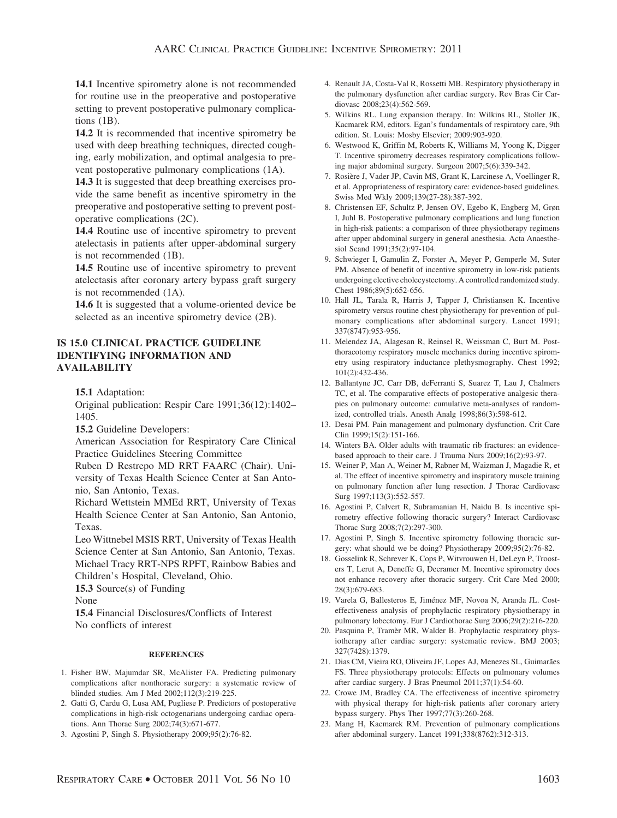**14.1** Incentive spirometry alone is not recommended for routine use in the preoperative and postoperative setting to prevent postoperative pulmonary complications (1B).

**14.2** It is recommended that incentive spirometry be used with deep breathing techniques, directed coughing, early mobilization, and optimal analgesia to prevent postoperative pulmonary complications (1A).

**14.3** It is suggested that deep breathing exercises provide the same benefit as incentive spirometry in the preoperative and postoperative setting to prevent postoperative complications (2C).

**14.4** Routine use of incentive spirometry to prevent atelectasis in patients after upper-abdominal surgery is not recommended (1B).

**14.5** Routine use of incentive spirometry to prevent atelectasis after coronary artery bypass graft surgery is not recommended (1A).

**14.6** It is suggested that a volume-oriented device be selected as an incentive spirometry device (2B).

## **IS 15.0 CLINICAL PRACTICE GUIDELINE IDENTIFYING INFORMATION AND AVAILABILITY**

**15.1** Adaptation:

Original publication: Respir Care 1991;36(12):1402– 1405.

**15.2** Guideline Developers:

American Association for Respiratory Care Clinical Practice Guidelines Steering Committee

Ruben D Restrepo MD RRT FAARC (Chair). University of Texas Health Science Center at San Antonio, San Antonio, Texas.

Richard Wettstein MMEd RRT, University of Texas Health Science Center at San Antonio, San Antonio, Texas.

Leo Wittnebel MSIS RRT, University of Texas Health Science Center at San Antonio, San Antonio, Texas. Michael Tracy RRT-NPS RPFT, Rainbow Babies and Children's Hospital, Cleveland, Ohio.

**15.3** Source(s) of Funding

None

**15.4** Financial Disclosures/Conflicts of Interest No conflicts of interest

#### **REFERENCES**

- 1. Fisher BW, Majumdar SR, McAlister FA. Predicting pulmonary complications after nonthoracic surgery: a systematic review of blinded studies. Am J Med 2002;112(3):219-225.
- 2. Gatti G, Cardu G, Lusa AM, Pugliese P. Predictors of postoperative complications in high-risk octogenarians undergoing cardiac operations. Ann Thorac Surg 2002;74(3):671-677.
- 3. Agostini P, Singh S. Physiotherapy 2009;95(2):76-82.
- 4. Renault JA, Costa-Val R, Rossetti MB. Respiratory physiotherapy in the pulmonary dysfunction after cardiac surgery. Rev Bras Cir Cardiovasc 2008;23(4):562-569.
- 5. Wilkins RL. Lung expansion therapy. In: Wilkins RL, Stoller JK, Kacmarek RM, editors. Egan's fundamentals of respiratory care, 9th edition. St. Louis: Mosby Elsevier; 2009:903-920.
- 6. Westwood K, Griffin M, Roberts K, Williams M, Yoong K, Digger T. Incentive spirometry decreases respiratory complications following major abdominal surgery. Surgeon 2007;5(6):339-342.
- 7. Rosière J, Vader JP, Cavin MS, Grant K, Larcinese A, Voellinger R, et al. Appropriateness of respiratory care: evidence-based guidelines. Swiss Med Wkly 2009;139(27-28):387-392.
- 8. Christensen EF, Schultz P, Jensen OV, Egebo K, Engberg M, Grøn I, Juhl B. Postoperative pulmonary complications and lung function in high-risk patients: a comparison of three physiotherapy regimens after upper abdominal surgery in general anesthesia. Acta Anaesthesiol Scand 1991;35(2):97-104.
- 9. Schwieger I, Gamulin Z, Forster A, Meyer P, Gemperle M, Suter PM. Absence of benefit of incentive spirometry in low-risk patients undergoing elective cholecystectomy. A controlled randomized study. Chest 1986;89(5):652-656.
- 10. Hall JL, Tarala R, Harris J, Tapper J, Christiansen K. Incentive spirometry versus routine chest physiotherapy for prevention of pulmonary complications after abdominal surgery. Lancet 1991; 337(8747):953-956.
- 11. Melendez JA, Alagesan R, Reinsel R, Weissman C, Burt M. Postthoracotomy respiratory muscle mechanics during incentive spirometry using respiratory inductance plethysmography. Chest 1992; 101(2):432-436.
- 12. Ballantyne JC, Carr DB, deFerranti S, Suarez T, Lau J, Chalmers TC, et al. The comparative effects of postoperative analgesic therapies on pulmonary outcome: cumulative meta-analyses of randomized, controlled trials. Anesth Analg 1998;86(3):598-612.
- 13. Desai PM. Pain management and pulmonary dysfunction. Crit Care Clin 1999;15(2):151-166.
- 14. Winters BA. Older adults with traumatic rib fractures: an evidencebased approach to their care. J Trauma Nurs 2009;16(2):93-97.
- 15. Weiner P, Man A, Weiner M, Rabner M, Waizman J, Magadie R, et al. The effect of incentive spirometry and inspiratory muscle training on pulmonary function after lung resection. J Thorac Cardiovasc Surg 1997;113(3):552-557.
- 16. Agostini P, Calvert R, Subramanian H, Naidu B. Is incentive spirometry effective following thoracic surgery? Interact Cardiovasc Thorac Surg 2008;7(2):297-300.
- 17. Agostini P, Singh S. Incentive spirometry following thoracic surgery: what should we be doing? Physiotherapy 2009;95(2):76-82.
- 18. Gosselink R, Schrever K, Cops P, Witvrouwen H, DeLeyn P, Troosters T, Lerut A, Deneffe G, Decramer M. Incentive spirometry does not enhance recovery after thoracic surgery. Crit Care Med 2000; 28(3):679-683.
- 19. Varela G, Ballesteros E, Jiménez MF, Novoa N, Aranda JL. Costeffectiveness analysis of prophylactic respiratory physiotherapy in pulmonary lobectomy. Eur J Cardiothorac Surg 2006;29(2):216-220.
- 20. Pasquina P, Tramèr MR, Walder B. Prophylactic respiratory physiotherapy after cardiac surgery: systematic review. BMJ 2003; 327(7428):1379.
- 21. Dias CM, Vieira RO, Oliveira JF, Lopes AJ, Menezes SL, Guimarães FS. Three physiotherapy protocols: Effects on pulmonary volumes after cardiac surgery. J Bras Pneumol 2011;37(1):54-60.
- 22. Crowe JM, Bradley CA. The effectiveness of incentive spirometry with physical therapy for high-risk patients after coronary artery bypass surgery. Phys Ther 1997;77(3):260-268.
- 23. Mang H, Kacmarek RM. Prevention of pulmonary complications after abdominal surgery. Lancet 1991;338(8762):312-313.